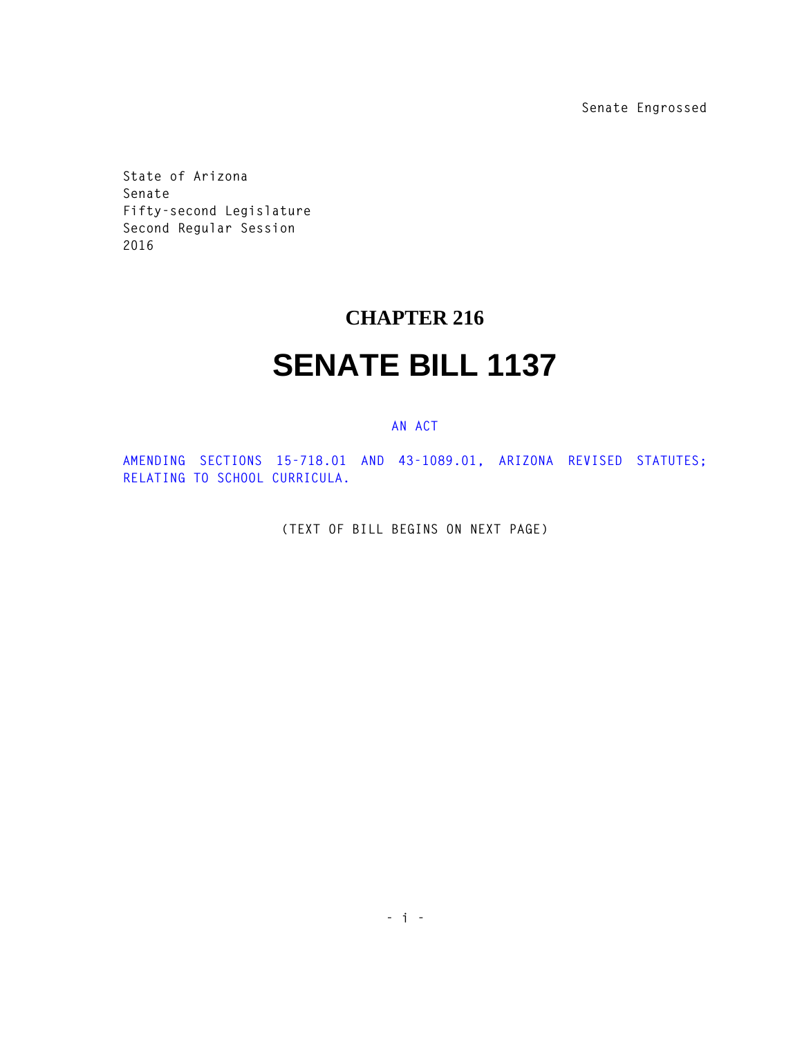**Senate Engrossed**

**State of Arizona Senate Fifty-second Legislature Second Regular Session 2016** 

## **CHAPTER 216**

## **SENATE BILL 1137**

## **AN ACT**

**AMENDING SECTIONS 15-718.01 AND 43-1089.01, ARIZONA REVISED STATUTES; RELATING TO SCHOOL CURRICULA.** 

**(TEXT OF BILL BEGINS ON NEXT PAGE)**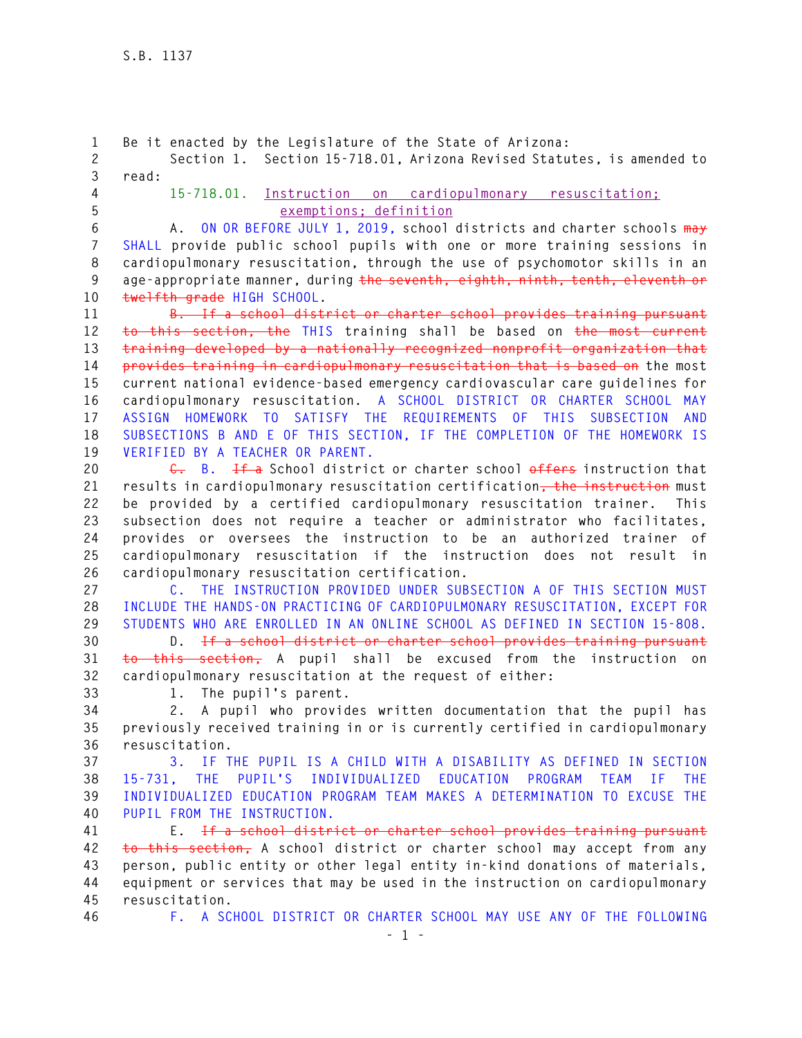**- 1 - 1 Be it enacted by the Legislature of the State of Arizona: 2 Section 1. Section 15-718.01, Arizona Revised Statutes, is amended to 3 read: 4 15-718.01. Instruction on cardiopulmonary resuscitation; 5 exemptions; definition 6 A. ON OR BEFORE JULY 1, 2019, school districts and charter schools may 7 SHALL provide public school pupils with one or more training sessions in 8 cardiopulmonary resuscitation, through the use of psychomotor skills in an 9 age-appropriate manner, during the seventh, eighth, ninth, tenth, eleventh or 10 twelfth grade HIGH SCHOOL. 11 B. If a school district or charter school provides training pursuant 12 to this section, the THIS training shall be based on the most current 13 training developed by a nationally recognized nonprofit organization that 14 provides training in cardiopulmonary resuscitation that is based on the most 15 current national evidence-based emergency cardiovascular care guidelines for 16 cardiopulmonary resuscitation. A SCHOOL DISTRICT OR CHARTER SCHOOL MAY 17 ASSIGN HOMEWORK TO SATISFY THE REQUIREMENTS OF THIS SUBSECTION AND 18 SUBSECTIONS B AND E OF THIS SECTION, IF THE COMPLETION OF THE HOMEWORK IS 19 VERIFIED BY A TEACHER OR PARENT. 20 C. B. If a School district or charter school offers instruction that 21 results in cardiopulmonary resuscitation certification, the instruction must 22 be provided by a certified cardiopulmonary resuscitation trainer. This 23 subsection does not require a teacher or administrator who facilitates, 24 provides or oversees the instruction to be an authorized trainer of 25 cardiopulmonary resuscitation if the instruction does not result in 26 cardiopulmonary resuscitation certification. 27 C. THE INSTRUCTION PROVIDED UNDER SUBSECTION A OF THIS SECTION MUST 28 INCLUDE THE HANDS-ON PRACTICING OF CARDIOPULMONARY RESUSCITATION, EXCEPT FOR 29 STUDENTS WHO ARE ENROLLED IN AN ONLINE SCHOOL AS DEFINED IN SECTION 15-808. 30 D. If a school district or charter school provides training pursuant 31 to this section, A pupil shall be excused from the instruction on 32 cardiopulmonary resuscitation at the request of either: 33 1. The pupil's parent. 34 2. A pupil who provides written documentation that the pupil has 35 previously received training in or is currently certified in cardiopulmonary 36 resuscitation. 37 3. IF THE PUPIL IS A CHILD WITH A DISABILITY AS DEFINED IN SECTION 38 15-731, THE PUPIL'S INDIVIDUALIZED EDUCATION PROGRAM TEAM IF THE 39 INDIVIDUALIZED EDUCATION PROGRAM TEAM MAKES A DETERMINATION TO EXCUSE THE 40 PUPIL FROM THE INSTRUCTION. 41 E. If a school district or charter school provides training pursuant 42 to this section, A school district or charter school may accept from any 43 person, public entity or other legal entity in-kind donations of materials, 44 equipment or services that may be used in the instruction on cardiopulmonary 45 resuscitation. 46 F. A SCHOOL DISTRICT OR CHARTER SCHOOL MAY USE ANY OF THE FOLLOWING**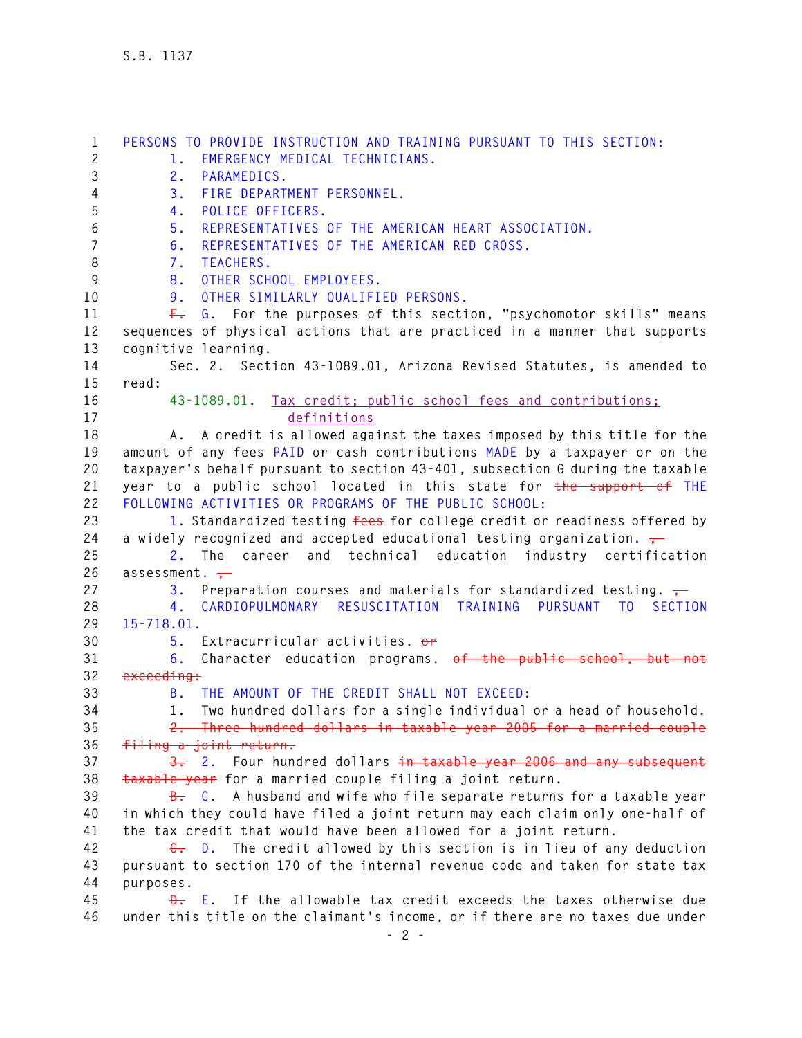**1 PERSONS TO PROVIDE INSTRUCTION AND TRAINING PURSUANT TO THIS SECTION: 2 1. EMERGENCY MEDICAL TECHNICIANS. 3 2. PARAMEDICS. 4 3. FIRE DEPARTMENT PERSONNEL. 5 4. POLICE OFFICERS. 6 5. REPRESENTATIVES OF THE AMERICAN HEART ASSOCIATION. 7 6. REPRESENTATIVES OF THE AMERICAN RED CROSS. 8 7. TEACHERS. 9 8. OTHER SCHOOL EMPLOYEES. 10 9. OTHER SIMILARLY QUALIFIED PERSONS. 11 F. G. For the purposes of this section, "psychomotor skills" means 12 sequences of physical actions that are practiced in a manner that supports 13 cognitive learning. 14 Sec. 2. Section 43-1089.01, Arizona Revised Statutes, is amended to 15 read: 16 43-1089.01. Tax credit; public school fees and contributions; 17 definitions 18 A. A credit is allowed against the taxes imposed by this title for the 19 amount of any fees PAID or cash contributions MADE by a taxpayer or on the 20 taxpayer's behalf pursuant to section 43-401, subsection G during the taxable 21 year to a public school located in this state for the support of THE 22 FOLLOWING ACTIVITIES OR PROGRAMS OF THE PUBLIC SCHOOL: 23 1. Standardized testing fees for college credit or readiness offered by 24 a widely recognized and accepted educational testing organization. , 25 2. The career and technical education industry certification**  26 assessment. -27 3. Preparation courses and materials for standardized testing.  $\frac{1}{1}$ **28 4. CARDIOPULMONARY RESUSCITATION TRAINING PURSUANT TO SECTION 29 15-718.01. 30 5. Extracurricular activities. or 31 6. Character education programs. of the public school, but not 32 exceeding: 33 B. THE AMOUNT OF THE CREDIT SHALL NOT EXCEED: 34 1. Two hundred dollars for a single individual or a head of household. 35 2. Three hundred dollars in taxable year 2005 for a married couple 36 filing a joint return. 37 3. 2. Four hundred dollars in taxable year 2006 and any subsequent 38 taxable year for a married couple filing a joint return. 39 B. C. A husband and wife who file separate returns for a taxable year 40 in which they could have filed a joint return may each claim only one-half of 41 the tax credit that would have been allowed for a joint return. 42 C. D. The credit allowed by this section is in lieu of any deduction 43 pursuant to section 170 of the internal revenue code and taken for state tax 44 purposes. 45 D. E. If the allowable tax credit exceeds the taxes otherwise due 46 under this title on the claimant's income, or if there are no taxes due under**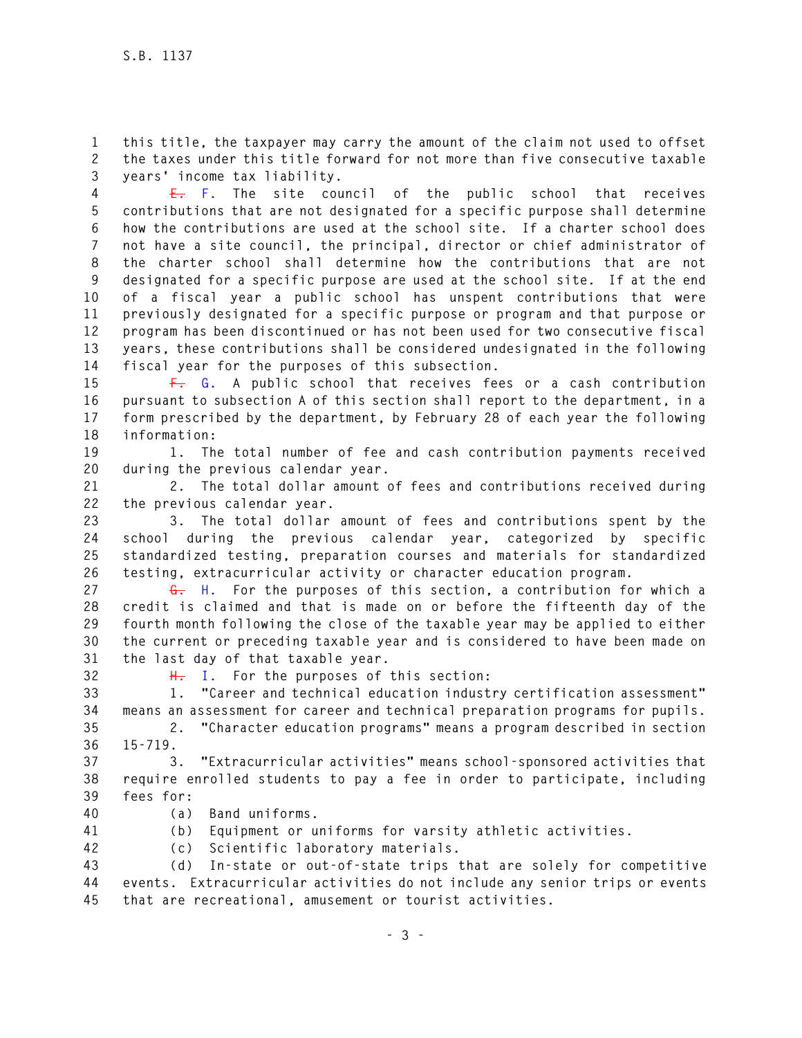**1 this title, the taxpayer may carry the amount of the claim not used to offset 2 the taxes under this title forward for not more than five consecutive taxable 3 years' income tax liability.** 

**4 E. F. The site council of the public school that receives 5 contributions that are not designated for a specific purpose shall determine 6 how the contributions are used at the school site. If a charter school does 7 not have a site council, the principal, director or chief administrator of 8 the charter school shall determine how the contributions that are not 9 designated for a specific purpose are used at the school site. If at the end 10 of a fiscal year a public school has unspent contributions that were 11 previously designated for a specific purpose or program and that purpose or 12 program has been discontinued or has not been used for two consecutive fiscal 13 years, these contributions shall be considered undesignated in the following 14 fiscal year for the purposes of this subsection.** 

**15 F. G. A public school that receives fees or a cash contribution 16 pursuant to subsection A of this section shall report to the department, in a 17 form prescribed by the department, by February 28 of each year the following 18 information:** 

**19 1. The total number of fee and cash contribution payments received 20 during the previous calendar year.** 

**21 2. The total dollar amount of fees and contributions received during 22 the previous calendar year.** 

**23 3. The total dollar amount of fees and contributions spent by the 24 school during the previous calendar year, categorized by specific 25 standardized testing, preparation courses and materials for standardized 26 testing, extracurricular activity or character education program.** 

**27 G. H. For the purposes of this section, a contribution for which a 28 credit is claimed and that is made on or before the fifteenth day of the 29 fourth month following the close of the taxable year may be applied to either 30 the current or preceding taxable year and is considered to have been made on 31 the last day of that taxable year.** 

**32 H. I. For the purposes of this section:** 

**33 1. "Career and technical education industry certification assessment" 34 means an assessment for career and technical preparation programs for pupils.** 

**35 2. "Character education programs" means a program described in section 36 15-719.** 

**37 3. "Extracurricular activities" means school-sponsored activities that 38 require enrolled students to pay a fee in order to participate, including 39 fees for:** 

**40 (a) Band uniforms.** 

- **41 (b) Equipment or uniforms for varsity athletic activities.**
- 
- **42 (c) Scientific laboratory materials.**

**43 (d) In-state or out-of-state trips that are solely for competitive 44 events. Extracurricular activities do not include any senior trips or events 45 that are recreational, amusement or tourist activities.**